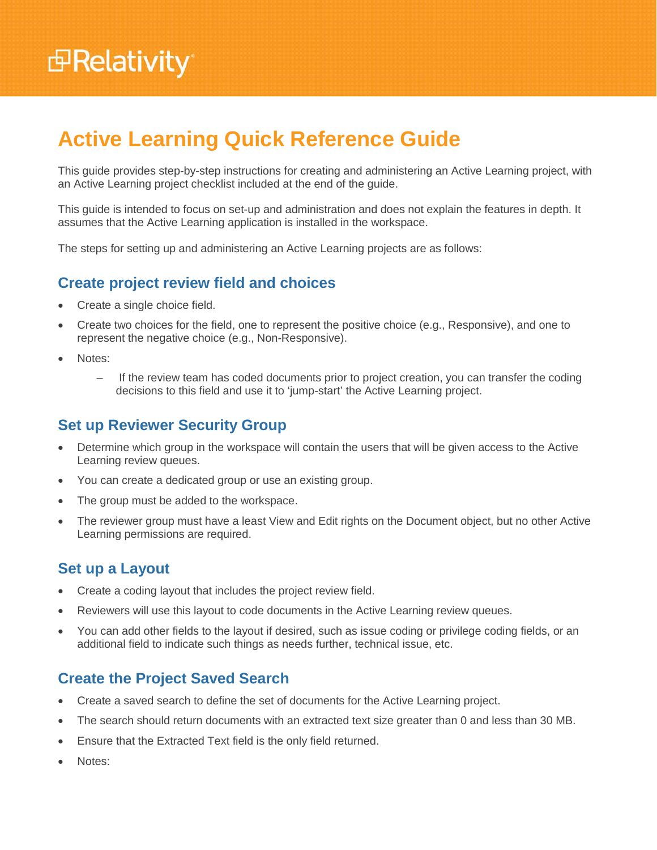# **Active Learning Quick Reference Guide**

This guide provides step-by-step instructions for creating and administering an Active Learning project, with an Active Learning project checklist included at the end of the guide.

This guide is intended to focus on set-up and administration and does not explain the features in depth. It assumes that the Active Learning application is installed in the workspace.

The steps for setting up and administering an Active Learning projects are as follows:

## **Create project review field and choices**

- Create a single choice field.
- Create two choices for the field, one to represent the positive choice (e.g., Responsive), and one to represent the negative choice (e.g., Non-Responsive).
- Notes:
	- If the review team has coded documents prior to project creation, you can transfer the coding decisions to this field and use it to 'jump-start' the Active Learning project.

#### **Set up Reviewer Security Group**

- Determine which group in the workspace will contain the users that will be given access to the Active Learning review queues.
- You can create a dedicated group or use an existing group.
- The group must be added to the workspace.
- The reviewer group must have a least View and Edit rights on the Document object, but no other Active Learning permissions are required.

#### **Set up a Layout**

- Create a coding layout that includes the project review field.
- Reviewers will use this layout to code documents in the Active Learning review queues.
- You can add other fields to the layout if desired, such as issue coding or privilege coding fields, or an additional field to indicate such things as needs further, technical issue, etc.

## **Create the Project Saved Search**

- Create a saved search to define the set of documents for the Active Learning project.
- The search should return documents with an extracted text size greater than 0 and less than 30 MB.
- Ensure that the Extracted Text field is the only field returned.
- Notes: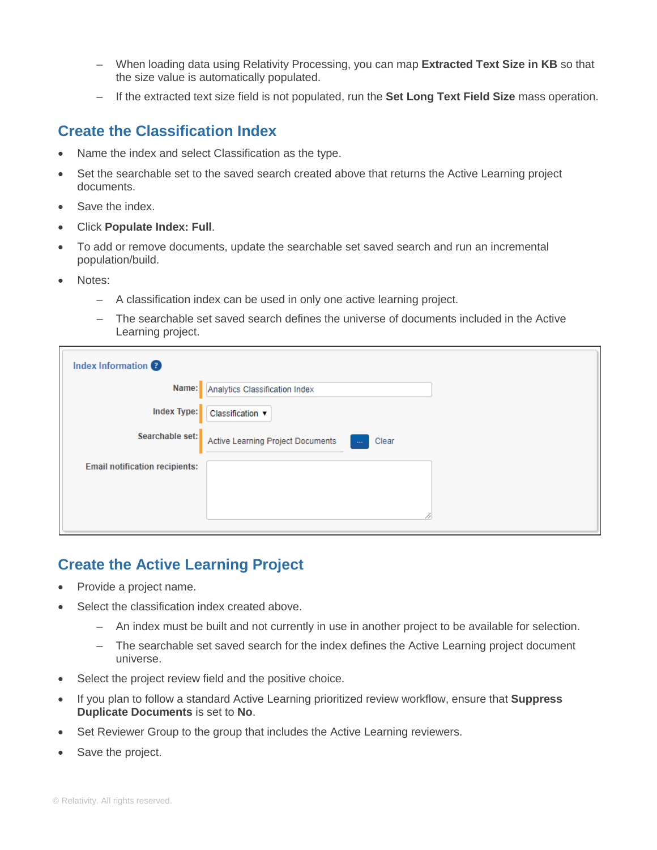- When loading data using Relativity Processing, you can map **Extracted Text Size in KB** so that the size value is automatically populated.
- If the extracted text size field is not populated, run the **Set Long Text Field Size** mass operation.

### **Create the Classification Index**

- Name the index and select Classification as the type.
- Set the searchable set to the saved search created above that returns the Active Learning project documents.
- Save the index.
- Click **Populate Index: Full**.
- To add or remove documents, update the searchable set saved search and run an incremental population/build.
- Notes:
	- A classification index can be used in only one active learning project.
	- The searchable set saved search defines the universe of documents included in the Active Learning project.

| Index Information                     |                                                            |
|---------------------------------------|------------------------------------------------------------|
|                                       | Name: Analytics Classification Index                       |
|                                       | Index Type: Classification v                               |
| Searchable set:                       | Active Learning Project Documents<br>Clear<br><b>Color</b> |
| <b>Email notification recipients:</b> |                                                            |
|                                       |                                                            |
|                                       |                                                            |

# **Create the Active Learning Project**

- Provide a project name.
- Select the classification index created above.
	- An index must be built and not currently in use in another project to be available for selection.
	- The searchable set saved search for the index defines the Active Learning project document universe.
- Select the project review field and the positive choice.
- If you plan to follow a standard Active Learning prioritized review workflow, ensure that **Suppress Duplicate Documents** is set to **No**.
- Set Reviewer Group to the group that includes the Active Learning reviewers.
- Save the project.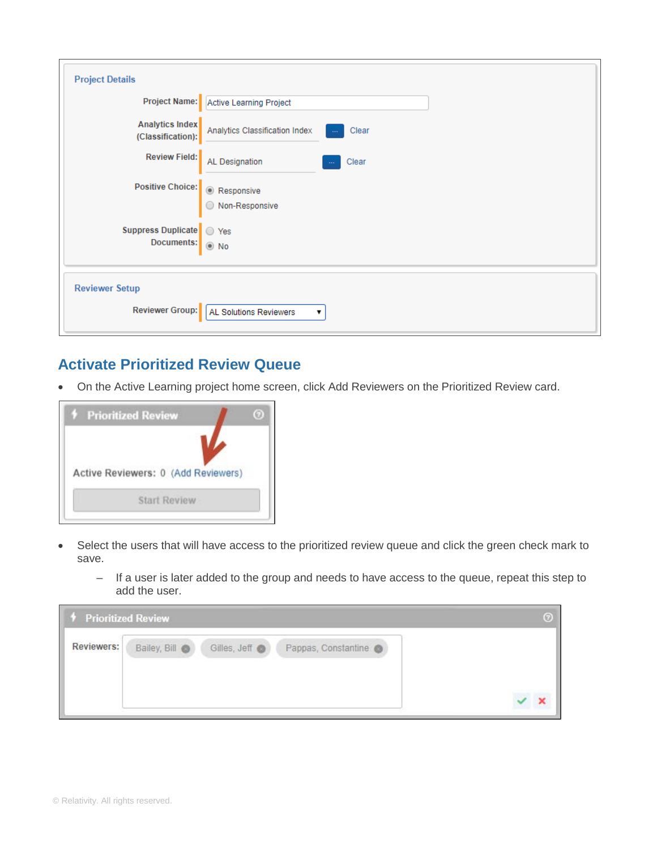| <b>Project Details</b>                        |                                                   |
|-----------------------------------------------|---------------------------------------------------|
|                                               | Project Name: Active Learning Project             |
| Analytics Index<br>(Classification):          | Analytics Classification Index<br>Clear           |
|                                               | Review Field: AL Designation<br>Clear             |
|                                               | Positive Choice: ● Responsive<br>● Non-Responsive |
| Suppress Duplicate \ \ Yes<br>Documents: 0 No |                                                   |
| <b>Reviewer Setup</b>                         |                                                   |
| <b>Reviewer Group:</b>                        | AL Solutions Reviewers<br>▼                       |

# **Activate Prioritized Review Queue**

• On the Active Learning project home screen, click Add Reviewers on the Prioritized Review card.



- Select the users that will have access to the prioritized review queue and click the green check mark to save.
	- If a user is later added to the group and needs to have access to the queue, repeat this step to add the user.

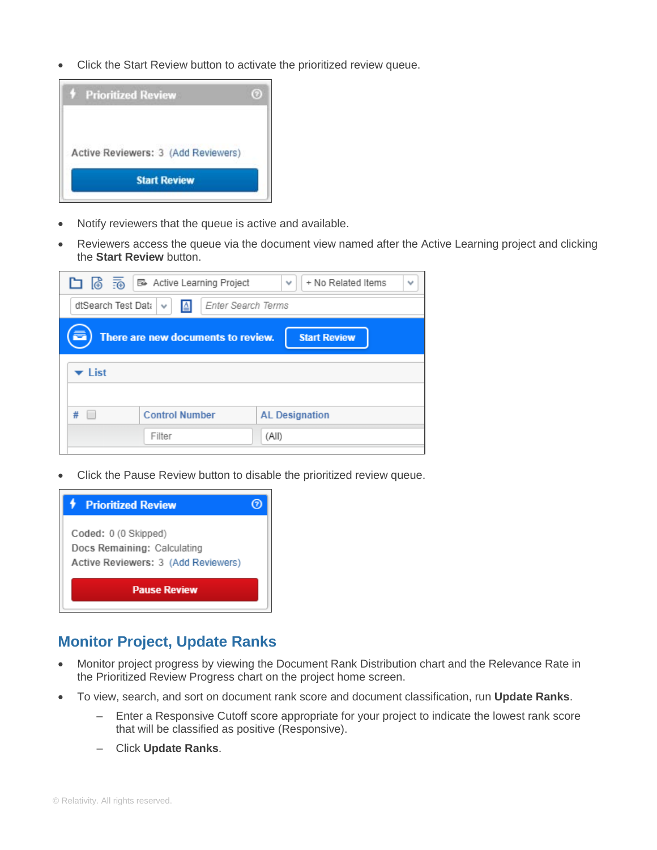• Click the Start Review button to activate the prioritized review queue.



- Notify reviewers that the queue is active and available.
- Reviewers access the queue via the document view named after the Active Learning project and clicking the **Start Review** button.

|                                                    | □ ⑥ 雨 B Active Learning Project    | + No Related Items<br>$\checkmark$<br>$\checkmark$ |  |  |  |
|----------------------------------------------------|------------------------------------|----------------------------------------------------|--|--|--|
| dtSearch Test Data<br>Enter Search Terms<br>≜<br>v |                                    |                                                    |  |  |  |
|                                                    | There are new documents to review. | <b>Start Review</b>                                |  |  |  |
| $\blacktriangleright$ List                         |                                    |                                                    |  |  |  |
| #                                                  | <b>Control Number</b>              | <b>AL Designation</b>                              |  |  |  |
|                                                    | Filter                             | (All)                                              |  |  |  |

• Click the Pause Review button to disable the prioritized review queue.



## **Monitor Project, Update Ranks**

- Monitor project progress by viewing the Document Rank Distribution chart and the Relevance Rate in the Prioritized Review Progress chart on the project home screen.
- To view, search, and sort on document rank score and document classification, run **Update Ranks**.
	- Enter a Responsive Cutoff score appropriate for your project to indicate the lowest rank score that will be classified as positive (Responsive).
	- Click **Update Ranks**.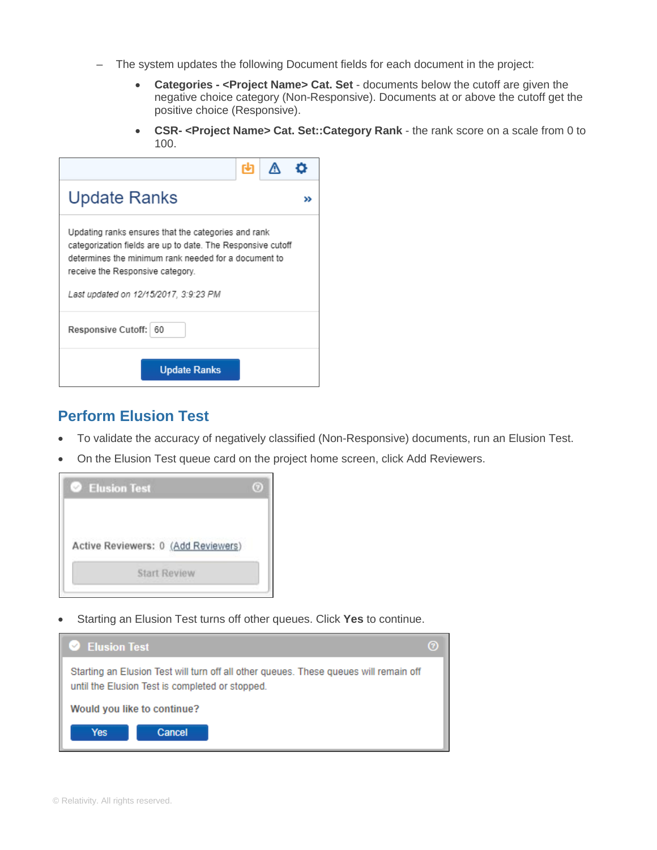- The system updates the following Document fields for each document in the project:
	- **Categories - <Project Name> Cat. Set** documents below the cutoff are given the negative choice category (Non-Responsive). Documents at or above the cutoff get the positive choice (Responsive).
	- **CSR- <Project Name> Cat. Set::Category Rank** the rank score on a scale from 0 to 100.

| Update Ranks                                                                                                                                                                                                                                            |  |  |  |  |  |  |
|---------------------------------------------------------------------------------------------------------------------------------------------------------------------------------------------------------------------------------------------------------|--|--|--|--|--|--|
| Updating ranks ensures that the categories and rank<br>categorization fields are up to date. The Responsive cutoff<br>determines the minimum rank needed for a document to<br>receive the Responsive category.<br>Last updated on 12/15/2017, 3:9:23 PM |  |  |  |  |  |  |
| Responsive Cutoff: 60                                                                                                                                                                                                                                   |  |  |  |  |  |  |
| <b>Update Ranks</b>                                                                                                                                                                                                                                     |  |  |  |  |  |  |

#### **Perform Elusion Test**

- To validate the accuracy of negatively classified (Non-Responsive) documents, run an Elusion Test.
- On the Elusion Test queue card on the project home screen, click Add Reviewers.

![](_page_4_Picture_7.jpeg)

• Starting an Elusion Test turns off other queues. Click **Yes** to continue.

![](_page_4_Picture_9.jpeg)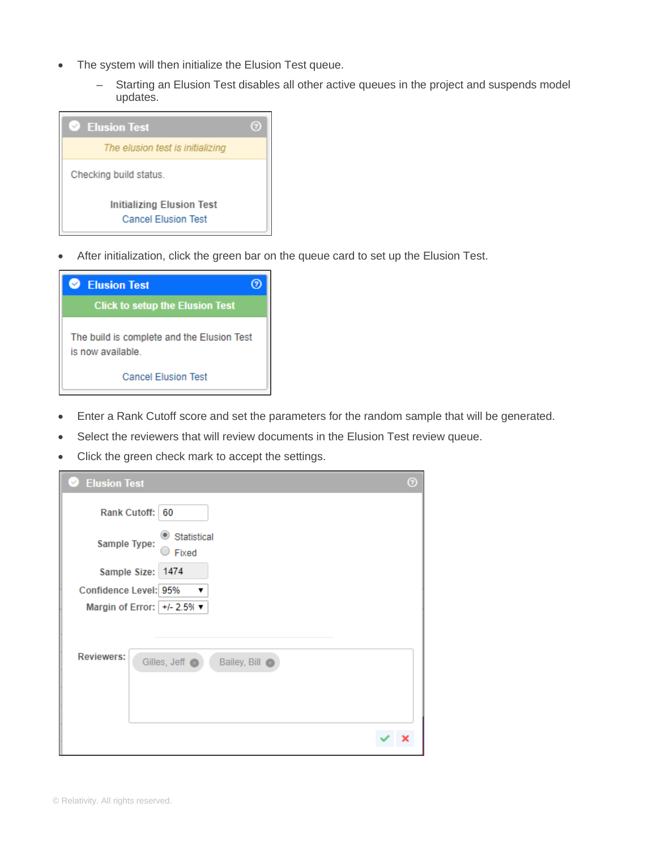- The system will then initialize the Elusion Test queue.
	- Starting an Elusion Test disables all other active queues in the project and suspends model updates.

![](_page_5_Picture_2.jpeg)

• After initialization, click the green bar on the queue card to set up the Elusion Test.

![](_page_5_Picture_4.jpeg)

- Enter a Rank Cutoff score and set the parameters for the random sample that will be generated.
- Select the reviewers that will review documents in the Elusion Test review queue.
- Click the green check mark to accept the settings.

| <b>Elusion Test</b><br>$\sim$                     | $^{\circ}$ |
|---------------------------------------------------|------------|
| <b>Rank Cutoff:</b><br>60                         |            |
| Statistical<br>Sample Type:<br>Fixed              |            |
| Sample Size: 1474                                 |            |
| Confidence Level: 95%<br>7                        |            |
| Margin of Error: $+/- 2.5%$                       |            |
| <b>Reviewers:</b><br>Gilles, Jeff<br>Bailey, Bill |            |
|                                                   |            |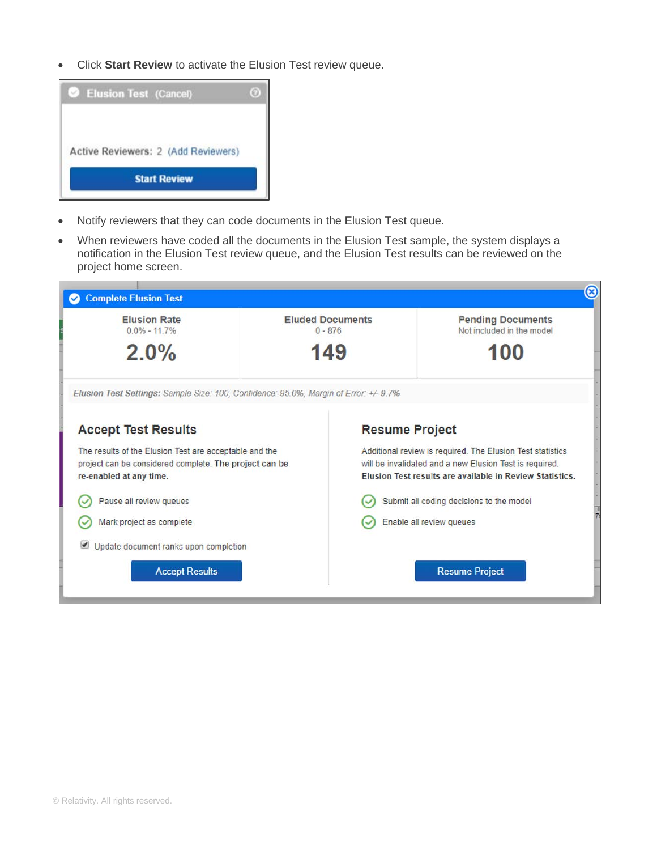• Click **Start Review** to activate the Elusion Test review queue.

![](_page_6_Picture_1.jpeg)

- Notify reviewers that they can code documents in the Elusion Test queue.
- When reviewers have coded all the documents in the Elusion Test sample, the system displays a notification in the Elusion Test review queue, and the Elusion Test results can be reviewed on the project home screen.

![](_page_6_Picture_4.jpeg)